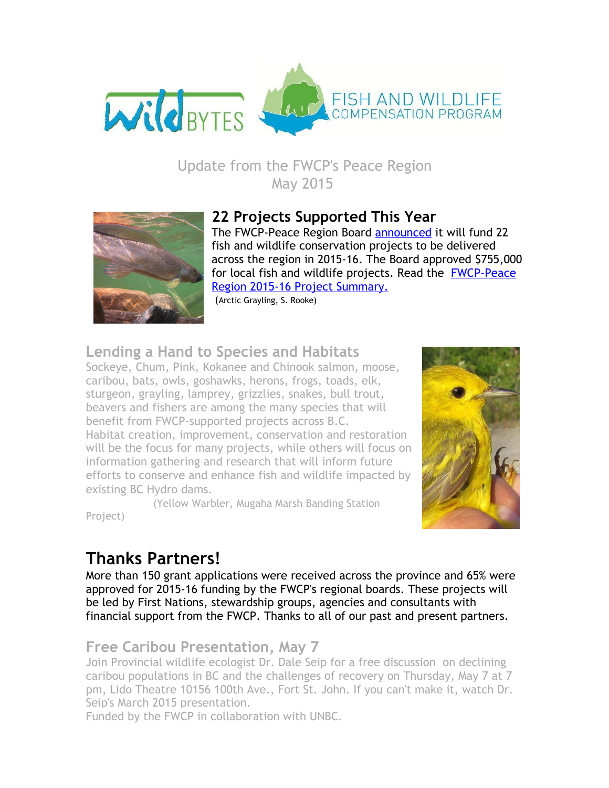

### Update from the FWCP's Peace Region May 2015



### **22 Projects Supported This Year**

The FWCP-Peace Region Board [announced](http://www.bchydro.com/content/dam/BCHydro/customer-portal/documents/corporate/environment-sustainability/fwcp/peace-region-fish-and-wildlife-projects-announced-final-april-27.pdf) it will fund 22 fish and wildlife conservation projects to be delivered across the region in 2015‐16. The Board approved \$755,000 for local fish and wildlife projects. Read the [FWCP‐Peace](http://www.bchydro.com/content/dam/BCHydro/customer-portal/documents/corporate/environment-sustainability/fwcp/fwcp-peace-region-2015-16-project-summary-final-april-27-2015.pdf) Region 2015‐16 Project Summary.

(Arctic Grayling, S. Rooke)

### **Lending a Hand to Species and Habitats**

Sockeye, Chum, Pink, Kokanee and Chinook salmon, moose, caribou, bats, owls, goshawks, herons, frogs, toads, elk, sturgeon, grayling, lamprey, grizzlies, snakes, bull trout, beavers and fishers are among the many species that will benefit from FWCP‐supported projects across B.C. Habitat creation, improvement, conservation and restoration will be the focus for many projects, while others will focus on information gathering and research that will inform future efforts to conserve and enhance fish and wildlife impacted by existing BC Hydro dams.

(Yellow Warbler, Mugaha Marsh Banding Station



## **Thanks Partners!**

Project)

More than 150 grant applications were received across the province and 65% were approved for 2015‐16 funding by the FWCP's regional boards. These projects will be led by First Nations, stewardship groups, agencies and consultants with financial support from the FWCP. Thanks to all of our past and present partners.

### **Free Caribou Presentation, May 7**

Join Provincial wildlife ecologist Dr. Dale Seip for a free [discussion](http://www.unbc.ca/events/36927/nresi-special-lecture-fort-st-john-bc-dr-dale-seip-ongoing-declines-caribou-populations-bc-challenges-caribou-recovery) on declining caribou populations in BC and the challenges of recovery on Thursday, May 7 at 7 pm, Lido Theatre 10156 100th Ave., Fort St. John. If you can't make it, watch Dr. Seip's March 2015 [presentation.](http://www.unbc.ca/nres-institute/colloquium-series/archived-colloquium-series)

Funded by the FWCP in collaboration with UNBC.